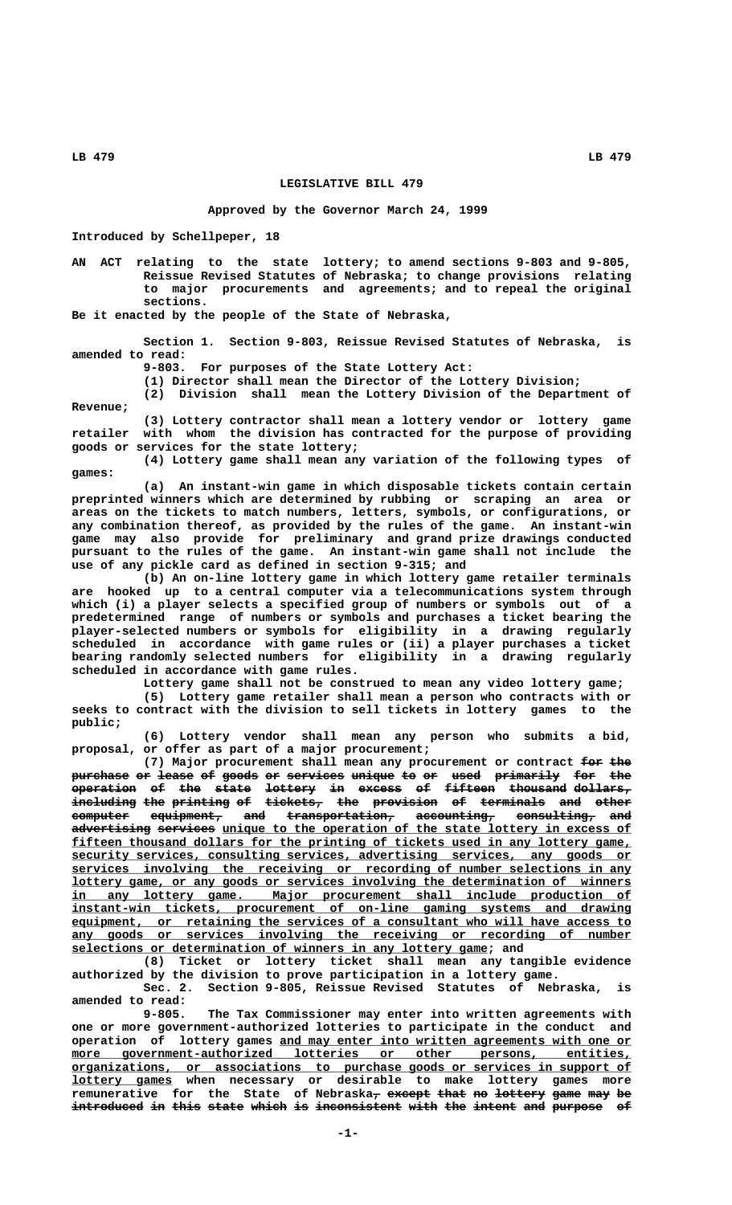## **LEGISLATIVE BILL 479**

## **Approved by the Governor March 24, 1999**

**Introduced by Schellpeper, 18**

**AN ACT relating to the state lottery; to amend sections 9-803 and 9-805, Reissue Revised Statutes of Nebraska; to change provisions relating to major procurements and agreements; and to repeal the original sections.**

**Be it enacted by the people of the State of Nebraska,**

**Section 1. Section 9-803, Reissue Revised Statutes of Nebraska, is amended to read:**

**9-803. For purposes of the State Lottery Act:**

**(1) Director shall mean the Director of the Lottery Division;**

**(2) Division shall mean the Lottery Division of the Department of Revenue;**

**(3) Lottery contractor shall mean a lottery vendor or lottery game retailer with whom the division has contracted for the purpose of providing goods or services for the state lottery;**

**(4) Lottery game shall mean any variation of the following types of games:**

**(a) An instant-win game in which disposable tickets contain certain preprinted winners which are determined by rubbing or scraping an area or areas on the tickets to match numbers, letters, symbols, or configurations, or any combination thereof, as provided by the rules of the game. An instant-win game may also provide for preliminary and grand prize drawings conducted pursuant to the rules of the game. An instant-win game shall not include the use of any pickle card as defined in section 9-315; and**

**(b) An on-line lottery game in which lottery game retailer terminals are hooked up to a central computer via a telecommunications system through which (i) a player selects a specified group of numbers or symbols out of a predetermined range of numbers or symbols and purchases a ticket bearing the player-selected numbers or symbols for eligibility in a drawing regularly scheduled in accordance with game rules or (ii) a player purchases a ticket bearing randomly selected numbers for eligibility in a drawing regularly scheduled in accordance with game rules.**

**Lottery game shall not be construed to mean any video lottery game; (5) Lottery game retailer shall mean a person who contracts with or seeks to contract with the division to sell tickets in lottery games to the public;**

**(6) Lottery vendor shall mean any person who submits a bid, proposal, or offer as part of a major procurement;**

(7) Major procurement shall mean any procurement or contract  $f$ or the purchase or lease of goods or services unique to or used primarily for the **operation of the state lottery in excess of fifteen thousand dollars, ————————— —— ——— ————— ——————— —— —————— —— ——————— ———————— ————————**  $\frac{1}{2}$   $\frac{1}{2}$   $\frac{1}{2}$   $\frac{1}{2}$   $\frac{1}{2}$   $\frac{1}{2}$   $\frac{1}{2}$   $\frac{1}{2}$   $\frac{1}{2}$   $\frac{1}{2}$   $\frac{1}{2}$   $\frac{1}{2}$   $\frac{1}{2}$   $\frac{1}{2}$   $\frac{1}{2}$   $\frac{1}{2}$   $\frac{1}{2}$   $\frac{1}{2}$   $\frac{1}{2}$   $\frac{1}{2}$   $\frac{1}{2}$   $\frac{1}{2}$   $\$ computer equipment, and transportation, accounting, consulting, and advertising services unique to the operation of the state lottery in excess of  **\_\_\_\_\_\_\_\_\_\_\_\_\_\_\_\_\_\_\_\_\_\_\_\_\_\_\_\_\_\_\_\_\_\_\_\_\_\_\_\_\_\_\_\_\_\_\_\_\_\_\_\_\_\_\_\_\_\_\_\_\_\_\_\_\_\_\_\_\_\_\_\_\_\_\_\_\_\_ fifteen thousand dollars for the printing of tickets used in any lottery game, \_\_\_\_\_\_\_\_\_\_\_\_\_\_\_\_\_\_\_\_\_\_\_\_\_\_\_\_\_\_\_\_\_\_\_\_\_\_\_\_\_\_\_\_\_\_\_\_\_\_\_\_\_\_\_\_\_\_\_\_\_\_\_\_\_\_\_\_\_\_\_\_\_\_\_\_\_\_ security services, consulting services, advertising services, any goods or \_\_\_\_\_\_\_\_\_\_\_\_\_\_\_\_\_\_\_\_\_\_\_\_\_\_\_\_\_\_\_\_\_\_\_\_\_\_\_\_\_\_\_\_\_\_\_\_\_\_\_\_\_\_\_\_\_\_\_\_\_\_\_\_\_\_\_\_\_\_\_\_\_\_\_\_\_\_ services involving the receiving or recording of number selections in any \_\_\_\_\_\_\_\_\_\_\_\_\_\_\_\_\_\_\_\_\_\_\_\_\_\_\_\_\_\_\_\_\_\_\_\_\_\_\_\_\_\_\_\_\_\_\_\_\_\_\_\_\_\_\_\_\_\_\_\_\_\_\_\_\_\_\_\_\_\_\_\_\_\_\_\_\_\_ lottery game, or any goods or services involving the determination of winners \_\_\_\_\_\_\_\_\_\_\_\_\_\_\_\_\_\_\_\_\_\_\_\_\_\_\_\_\_\_\_\_\_\_\_\_\_\_\_\_\_\_\_\_\_\_\_\_\_\_\_\_\_\_\_\_\_\_\_\_\_\_\_\_\_\_\_\_\_\_\_\_\_\_\_\_\_\_ in any lottery game. Major procurement shall include production of \_\_\_\_\_\_\_\_\_\_\_\_\_\_\_\_\_\_\_\_\_\_\_\_\_\_\_\_\_\_\_\_\_\_\_\_\_\_\_\_\_\_\_\_\_\_\_\_\_\_\_\_\_\_\_\_\_\_\_\_\_\_\_\_\_\_\_\_\_\_\_\_\_\_\_\_\_\_ instant-win tickets, procurement of on-line gaming systems and drawing \_\_\_\_\_\_\_\_\_\_\_\_\_\_\_\_\_\_\_\_\_\_\_\_\_\_\_\_\_\_\_\_\_\_\_\_\_\_\_\_\_\_\_\_\_\_\_\_\_\_\_\_\_\_\_\_\_\_\_\_\_\_\_\_\_\_\_\_\_\_\_\_\_\_\_\_\_\_ equipment, or retaining the services of a consultant who will have access to \_\_\_\_\_\_\_\_\_\_\_\_\_\_\_\_\_\_\_\_\_\_\_\_\_\_\_\_\_\_\_\_\_\_\_\_\_\_\_\_\_\_\_\_\_\_\_\_\_\_\_\_\_\_\_\_\_\_\_\_\_\_\_\_\_\_\_\_\_\_\_\_\_\_\_\_\_\_ any goods or services involving the receiving or recording of number \_\_\_\_\_\_\_\_\_\_\_\_\_\_\_\_\_\_\_\_\_\_\_\_\_\_\_\_\_\_\_\_\_\_\_\_\_\_\_\_\_\_\_\_\_\_\_\_\_\_\_\_\_\_\_\_\_\_ selections or determination of winners in any lottery game; and**

**(8) Ticket or lottery ticket shall mean any tangible evidence authorized by the division to prove participation in a lottery game.**

**Sec. 2. Section 9-805, Reissue Revised Statutes of Nebraska, is amended to read:**

**9-805. The Tax Commissioner may enter into written agreements with one or more government-authorized lotteries to participate in the conduct and** operation of lottery games <u>and may enter into written agreements with one or</u><br>more government-authorized lotteries or other persons, entities,  $\text{more}$  government-authorized lotteries or other persons,  **\_\_\_\_\_\_\_\_\_\_\_\_\_\_\_\_\_\_\_\_\_\_\_\_\_\_\_\_\_\_\_\_\_\_\_\_\_\_\_\_\_\_\_\_\_\_\_\_\_\_\_\_\_\_\_\_\_\_\_\_\_\_\_\_\_\_\_\_\_\_\_\_\_\_\_\_\_\_ organizations, or associations to purchase goods or services in support of \_\_\_\_\_\_\_\_\_\_\_\_\_\_ lottery games when necessary or desirable to make lottery games more** remunerative for the State of Nebraska<sub>7</sub> except that no lottery game may be introduced in this state which is inconsistent with the intent and purpose of